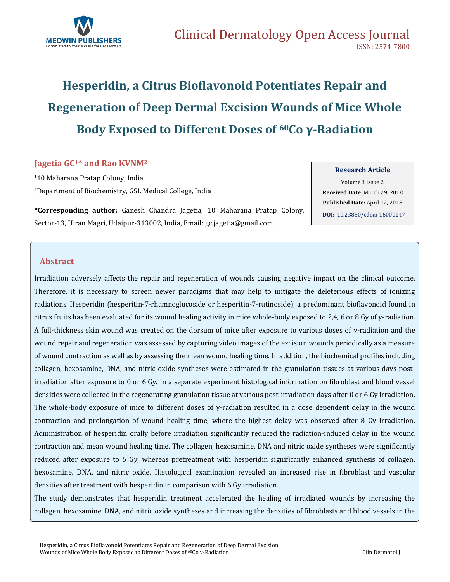

# **Hesperidin, a Citrus Bioflavonoid Potentiates Repair and Regeneration of Deep Dermal Excision Wounds of Mice Whole Body Exposed to Different Doses of 60Co γ-Radiation**

## **Jagetia GC1\* and Rao KVNM<sup>2</sup>**

<sup>1</sup>10 Maharana Pratap Colony, India <sup>2</sup>Department of Biochemistry, GSL Medical College, India

**\*Corresponding author:** Ganesh Chandra Jagetia, 10 Maharana Pratap Colony, Sector-13, Hiran Magri, Udaipur-313002, India, Email[: gc.jagetia@gmail.com](mailto:gc.jagetia@gmail.com)

**Research Article**

Volume 3 Issue 2 **Received Date**: March 29, 2018 **Published Date:** April 12, 2018 **DOI:** [10.23880/cdoaj-16000147](https://doi.org/10.23880/cdoaj-16000147)

## **Abstract**

Irradiation adversely affects the repair and regeneration of wounds causing negative impact on the clinical outcome. Therefore, it is necessary to screen newer paradigms that may help to mitigate the deleterious effects of ionizing radiations. Hesperidin (hesperitin-7-rhamnoglucoside or hesperitin-7-rutinoside), a predominant bioflavonoid found in citrus fruits has been evaluated for its wound healing activity in mice whole-body exposed to 2,4, 6 or 8 Gy of γ-radiation. A full-thickness skin wound was created on the dorsum of mice after exposure to various doses of γ-radiation and the wound repair and regeneration was assessed by capturing video images of the excision wounds periodically as a measure of wound contraction as well as by assessing the mean wound healing time. In addition, the biochemical profiles including collagen, hexosamine, DNA, and nitric oxide syntheses were estimated in the granulation tissues at various days postirradiation after exposure to 0 or 6 Gy. In a separate experiment histological information on fibroblast and blood vessel densities were collected in the regenerating granulation tissue at various post-irradiation days after 0 or 6 Gy irradiation. The whole-body exposure of mice to different doses of γ-radiation resulted in a dose dependent delay in the wound contraction and prolongation of wound healing time, where the highest delay was observed after 8 Gy irradiation. Administration of hesperidin orally before irradiation significantly reduced the radiation-induced delay in the wound contraction and mean wound healing time. The collagen, hexosamine, DNA and nitric oxide syntheses were significantly reduced after exposure to 6 Gy, whereas pretreatment with hesperidin significantly enhanced synthesis of collagen, hexosamine, DNA, and nitric oxide. Histological examination revealed an increased rise in fibroblast and vascular densities after treatment with hesperidin in comparison with 6 Gy irradiation.

The study demonstrates that hesperidin treatment accelerated the healing of irradiated wounds by increasing the collagen, hexosamine, DNA, and nitric oxide syntheses and increasing the densities of fibroblasts and blood vessels in the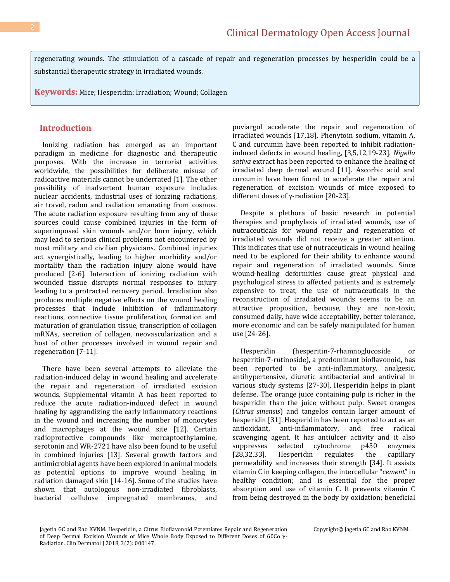regenerating wounds. The stimulation of a cascade of repair and regeneration processes by hesperidin could be a substantial therapeutic strategy in irradiated wounds.

**Keywords:** Mice; Hesperidin; Irradiation; Wound; Collagen

## **Introduction**

 Ionizing radiation has emerged as an important paradigm in medicine for diagnostic and therapeutic purposes. With the increase in terrorist activities worldwide, the possibilities for deliberate misuse of radioactive materials cannot be underrated [1]. The other possibility of inadvertent human exposure includes nuclear accidents, industrial uses of ionizing radiations, air travel, radon and radiation emanating from cosmos. The acute radiation exposure resulting from any of these sources could cause combined injuries in the form of superimposed skin wounds and/or burn injury, which may lead to serious clinical problems not encountered by most military and civilian physicians. Combined injuries act synergistically, leading to higher morbidity and/or mortality than the radiation injury alone would have produced [2-6]. Interaction of ionizing radiation with wounded tissue disrupts normal responses to injury leading to a protracted recovery period. Irradiation also produces multiple negative effects on the wound healing processes that include inhibition of inflammatory reactions, connective tissue proliferation, formation and maturation of granulation tissue, transcription of collagen mRNAs, secretion of collagen, neovascularization and a host of other processes involved in wound repair and regeneration [7-11].

 There have been several attempts to alleviate the radiation-induced delay in wound healing and accelerate the repair and regeneration of irradiated excision wounds. Supplemental vitamin A has been reported to reduce the acute radiation-induced defect in wound healing by aggrandizing the early inflammatory reactions in the wound and increasing the number of monocytes and macrophages at the wound site [12]. Certain radioprotective compounds like mercaptoethylamine, serotonin and WR-2721 have also been found to be useful in combined injuries [13]. Several growth factors and antimicrobial agents have been explored in animal models as potential options to improve wound healing in radiation damaged skin [14-16]. Some of the studies have shown that autologous non-irradiated fibroblasts, bacterial cellulose impregnated membranes, and poviargol accelerate the repair and regeneration of irradiated wounds [17,18]. Phenytoin sodium, vitamin A, C and curcumin have been reported to inhibit radiationinduced defects in wound healing, [3,5,12,19-23]. *Nigella sativa* extract has been reported to enhance the healing of irradiated deep dermal wound [11]. Ascorbic acid and curcumin have been found to accelerate the repair and regeneration of excision wounds of mice exposed to different doses of γ-radiation [20-23].

 Despite a plethora of basic research in potential therapies and prophylaxis of irradiated wounds, use of nutraceuticals for wound repair and regeneration of irradiated wounds did not receive a greater attention. This indicates that use of nutraceuticals in wound healing need to be explored for their ability to enhance wound repair and regeneration of irradiated wounds. Since wound-healing deformities cause great physical and psychological stress to affected patients and is extremely expensive to treat, the use of nutraceuticals in the reconstruction of irradiated wounds seems to be an attractive proposition, because, they are non-toxic, consumed daily, have wide acceptability, better tolerance, more economic and can be safely manipulated for human use [24-26].

 Hesperidin (hesperitin-7-rhamnoglucoside or hesperitin-7-rutinoside), a predominant bioflavonoid, has been reported to be anti-inflammatory, analgesic, antihypertensive, diuretic antibacterial and antiviral in various study systems [27-30]. Hesperidin helps in plant defense. The orange juice containing pulp is richer in the hesperidin than the juice without pulp. Sweet oranges (*Citrus sinensis*) and tangelos contain larger amount of hesperidin [31]. Hesperidin has been reported to act as an antioxidant, anti-inflammatory, and free radical scavenging agent. It has antiulcer activity and it also suppresses selected cytochrome p450 enzymes [28,32,33]. Hesperidin regulates the capillary permeability and increases their strength [34]. It assists vitamin C in keeping collagen, the intercellular "*cement*" in healthy condition; and is essential for the proper absorption and use of vitamin C. It prevents vitamin C from being destroyed in the body by oxidation; beneficial

Jagetia GC and Rao KVNM. Hesperidin, a Citrus Bioflavonoid Potentiates Repair and Regeneration of Deep Dermal Excision Wounds of Mice Whole Body Exposed to Different Doses of 60Co γ-Radiation. Clin Dermatol J 2018, 3(2): 000147.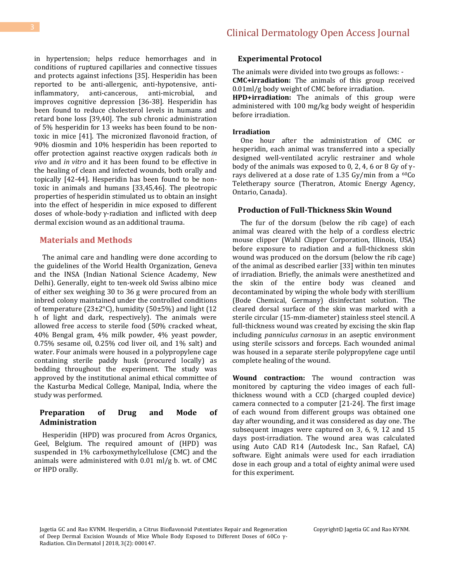in hypertension; helps reduce hemorrhages and in conditions of ruptured capillaries and connective tissues and protects against infections [35]. Hesperidin has been reported to be anti-allergenic, anti-hypotensive, antiinflammatory, anti-cancerous, anti-microbial, and improves cognitive depression [36-38]. Hesperidin has been found to reduce cholesterol levels in humans and retard bone loss [39,40]. The sub chronic administration of 5% hesperidin for 13 weeks has been found to be nontoxic in mice [41]. The micronized flavonoid fraction, of 90% diosmin and 10% hesperidin has been reported to offer protection against reactive oxygen radicals both *in vivo* and *in vitro* and it has been found to be effective in the healing of clean and infected wounds, both orally and topically [42-44]. Hesperidin has been found to be nontoxic in animals and humans [33,45,46]. The pleotropic properties of hesperidin stimulated us to obtain an insight into the effect of hesperidin in mice exposed to different doses of whole-body γ-radiation and inflicted with deep dermal excision wound as an additional trauma.

## **Materials and Methods**

 The animal care and handling were done according to the guidelines of the World Health Organization, Geneva and the INSA (Indian National Science Academy, New Delhi). Generally, eight to ten-week old Swiss albino mice of either sex weighing 30 to 36 g were procured from an inbred colony maintained under the controlled conditions of temperature ( $23\pm2\degree$ C), humidity ( $50\pm5\%$ ) and light (12 h of light and dark, respectively). The animals were allowed free access to sterile food (50% cracked wheat, 40% Bengal gram, 4% milk powder, 4% yeast powder, 0.75% sesame oil, 0.25% cod liver oil, and 1% salt) and water. Four animals were housed in a polypropylene cage containing sterile paddy husk (procured locally) as bedding throughout the experiment. The study was approved by the institutional animal ethical committee of the Kasturba Medical College, Manipal, India, where the study was performed.

### **Preparation of Drug and Mode of Administration**

 Hesperidin (HPD) was procured from Acros Organics, Geel, Belgium. The required amount of (HPD) was suspended in 1% carboxymethylcellulose (CMC) and the animals were administered with 0.01 ml/g b. wt. of CMC or HPD orally.

#### **Experimental Protocol**

The animals were divided into two groups as follows: - **CMC+irradiation:** The animals of this group received 0.01ml/g body weight of CMC before irradiation. **HPD+irradiation:** The animals of this group were administered with 100 mg/kg body weight of hesperidin

**Irradiation**

before irradiation.

 One hour after the administration of CMC or hesperidin, each animal was transferred into a specially designed well-ventilated acrylic restrainer and whole body of the animals was exposed to 0, 2, 4, 6 or 8 Gy of  $γ$ rays delivered at a dose rate of 1.35 Gy/min from a 60Co Teletherapy source (Theratron, Atomic Energy Agency, Ontario, Canada).

## **Production of Full-Thickness Skin Wound**

 The fur of the dorsum (below the rib cage) of each animal was cleared with the help of a cordless electric mouse clipper (Wahl Clipper Corporation, Illinois, USA) before exposure to radiation and a full-thickness skin wound was produced on the dorsum (below the rib cage) of the animal as described earlier [33] within ten minutes of irradiation. Briefly, the animals were anesthetized and the skin of the entire body was cleaned and decontaminated by wiping the whole body with sterillium (Bode Chemical, Germany) disinfectant solution. The cleared dorsal surface of the skin was marked with a sterile circular (15-mm-diameter) stainless steel stencil. A full-thickness wound was created by excising the skin flap including *panniculus carnosus* in an aseptic environment using sterile scissors and forceps. Each wounded animal was housed in a separate sterile polypropylene cage until complete healing of the wound.

**Wound contraction:** The wound contraction was monitored by capturing the video images of each fullthickness wound with a CCD (charged coupled device) camera connected to a computer [21-24]. The first image of each wound from different groups was obtained one day after wounding, and it was considered as day one. The subsequent images were captured on 3, 6, 9, 12 and 15 days post-irradiation. The wound area was calculated using Auto CAD R14 (Autodesk Inc., San Rafael, CA) software. Eight animals were used for each irradiation dose in each group and a total of eighty animal were used for this experiment.

Jagetia GC and Rao KVNM. Hesperidin, a Citrus Bioflavonoid Potentiates Repair and Regeneration of Deep Dermal Excision Wounds of Mice Whole Body Exposed to Different Doses of 60Co γ-Radiation. Clin Dermatol J 2018, 3(2): 000147.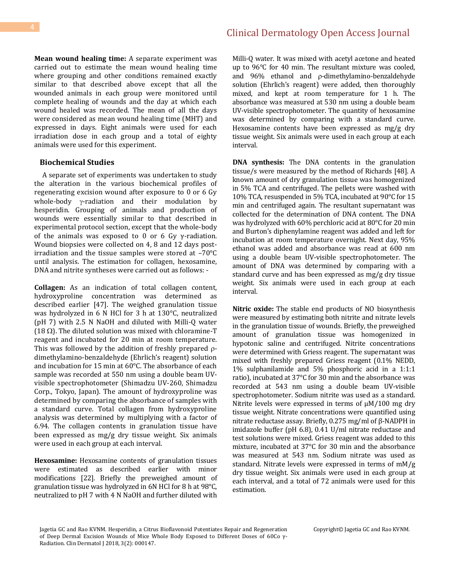**Mean wound healing time:** A separate experiment was carried out to estimate the mean wound healing time where grouping and other conditions remained exactly similar to that described above except that all the wounded animals in each group were monitored until complete healing of wounds and the day at which each wound healed was recorded. The mean of all the days were considered as mean wound healing time (MHT) and expressed in days. Eight animals were used for each irradiation dose in each group and a total of eighty animals were used for this experiment.

#### **Biochemical Studies**

 A separate set of experiments was undertaken to study the alteration in the various biochemical profiles of regenerating excision wound after exposure to 0 or 6 Gy whole-body  $\gamma$ -radiation and their modulation by hesperidin. Grouping of animals and production of wounds were essentially similar to that described in experimental protocol section, except that the whole-body of the animals was exposed to 0 or 6 Gy  $\gamma$ -radiation. Wound biopsies were collected on 4, 8 and 12 days postirradiation and the tissue samples were stored at –70°C until analysis. The estimation for collagen, hexosamine, DNA and nitrite syntheses were carried out as follows: -

**Collagen:** As an indication of total collagen content, hydroxyproline concentration was determined as described earlier [47]. The weighed granulation tissue was hydrolyzed in 6 N HCl for 3 h at 130°C, neutralized (pH 7) with 2.5 N NaOH and diluted with Milli-Q water (18  $\Omega$ ). The diluted solution was mixed with chloramine-T reagent and incubated for 20 min at room temperature. This was followed by the addition of freshly prepared  $\rho$ dimethylamino-benzaldehyde (Ehrlich's reagent) solution and incubation for 15 min at 60°C. The absorbance of each sample was recorded at 550 nm using a double beam UVvisible spectrophotometer (Shimadzu UV-260, Shimadzu Corp., Tokyo, Japan). The amount of hydroxyproline was determined by comparing the absorbance of samples with a standard curve. Total collagen from hydroxyproline analysis was determined by multiplying with a factor of 6.94. The collagen contents in granulation tissue have been expressed as mg/g dry tissue weight. Six animals were used in each group at each interval.

**Hexosamine:** Hexosamine contents of granulation tissues were estimated as described earlier with minor modifications [22]. Briefly the preweighed amount of granulation tissue was hydrolyzed in 6N HCl for 8 h at 98°C, neutralized to pH 7 with 4 N NaOH and further diluted with Milli-Q water. It was mixed with acetyl acetone and heated up to 96°C for 40 min. The resultant mixture was cooled, and 96% ethanol and p-dimethylamino-benzaldehyde solution (Ehrlich's reagent) were added, then thoroughly mixed, and kept at room temperature for 1 h. The absorbance was measured at 530 nm using a double beam UV-visible spectrophotometer. The quantity of hexosamine was determined by comparing with a standard curve. Hexosamine contents have been expressed as mg/g dry tissue weight. Six animals were used in each group at each interval.

**DNA synthesis:** The DNA contents in the granulation tissue/s were measured by the method of Richards [48]. A known amount of dry granulation tissue was homogenized in 5% TCA and centrifuged. The pellets were washed with 10% TCA, resuspended in 5% TCA, incubated at 90°C for 15 min and centrifuged again. The resultant supernatant was collected for the determination of DNA content. The DNA was hydrolyzed with 60% perchloric acid at 80°C for 20 min and Burton's diphenylamine reagent was added and left for incubation at room temperature overnight. Next day, 95% ethanol was added and absorbance was read at 600 nm using a double beam UV-visible spectrophotometer. The amount of DNA was determined by comparing with a standard curve and has been expressed as mg/g dry tissue weight. Six animals were used in each group at each interval.

**Nitric oxide:** The stable end products of NO biosynthesis were measured by estimating both nitrite and nitrate levels in the granulation tissue of wounds. Briefly, the preweighed amount of granulation tissue was homogenized in hypotonic saline and centrifuged. Nitrite concentrations were determined with Griess reagent. The supernatant was mixed with freshly prepared Griess reagent (0.1% NEDD, 1% sulphanilamide and 5% phosphoric acid in a 1:1:1 ratio), incubated at 37°C for 30 min and the absorbance was recorded at 543 nm using a double beam UV-visible spectrophotometer. Sodium nitrite was used as a standard. Nitrite levels were expressed in terms of µM/100 mg dry tissue weight. Nitrate concentrations were quantified using nitrate reductase assay. Briefly, 0.275 mg/ml of β-NADPH in imidazole buffer (pH 6.8), 0.41 U/ml nitrate reductase and test solutions were mixed. Griess reagent was added to this mixture, incubated at 37°C for 30 min and the absorbance was measured at 543 nm. Sodium nitrate was used as standard. Nitrate levels were expressed in terms of mM/g dry tissue weight. Six animals were used in each group at each interval, and a total of 72 animals were used for this estimation.

Jagetia GC and Rao KVNM. Hesperidin, a Citrus Bioflavonoid Potentiates Repair and Regeneration of Deep Dermal Excision Wounds of Mice Whole Body Exposed to Different Doses of 60Co γ-Radiation. Clin Dermatol J 2018, 3(2): 000147.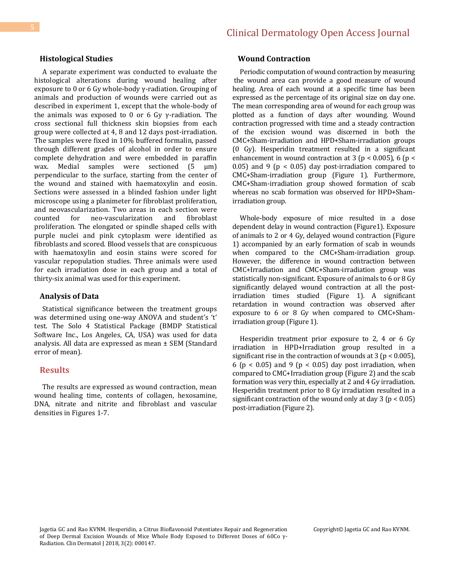### **Histological Studies**

 A separate experiment was conducted to evaluate the histological alterations during wound healing after exposure to 0 or 6 Gy whole-body γ-radiation. Grouping of animals and production of wounds were carried out as described in experiment 1, except that the whole-body of the animals was exposed to 0 or 6 Gy  $\gamma$ -radiation. The cross sectional full thickness skin biopsies from each group were collected at 4, 8 and 12 days post-irradiation. The samples were fixed in 10% buffered formalin, passed through different grades of alcohol in order to ensure complete dehydration and were embedded in paraffin wax. Medial samples were sectioned  $(5 \mu m)$ perpendicular to the surface, starting from the center of the wound and stained with haematoxylin and eosin. Sections were assessed in a blinded fashion under light microscope using a planimeter for fibroblast proliferation, and neovascularization. Two areas in each section were counted for neo-vascularization and fibroblast proliferation. The elongated or spindle shaped cells with purple nuclei and pink cytoplasm were identified as fibroblasts and scored. Blood vessels that are conspicuous with haematoxylin and eosin stains were scored for vascular repopulation studies. Three animals were used for each irradiation dose in each group and a total of thirty-six animal was used for this experiment.

#### **Analysis of Data**

 Statistical significance between the treatment groups was determined using one-way ANOVA and student's 't' test. The Solo 4 Statistical Package (BMDP Statistical Software Inc., Los Angeles, CA, USA) was used for data analysis. All data are expressed as mean ± SEM (Standard error of mean).

#### **Results**

 The results are expressed as wound contraction, mean wound healing time, contents of collagen, hexosamine, DNA, nitrate and nitrite and fibroblast and vascular densities in Figures 1-7.

#### **Wound Contraction**

 Periodic computation of wound contraction by measuring the wound area can provide a good measure of wound healing. Area of each wound at a specific time has been expressed as the percentage of its original size on day one. The mean corresponding area of wound for each group was plotted as a function of days after wounding. Wound contraction progressed with time and a steady contraction of the excision wound was discerned in both the CMC+Sham-irradiation and HPD+Sham-irradiation groups (0 Gy). Hesperidin treatment resulted in a significant enhancement in wound contraction at 3 ( $p < 0.005$ ), 6 ( $p <$ 0.05) and 9 ( $p < 0.05$ ) day post-irradiation compared to CMC+Sham-irradiation group (Figure 1). Furthermore, CMC+Sham-irradiation group showed formation of scab whereas no scab formation was observed for HPD+Shamirradiation group.

 Whole-body exposure of mice resulted in a dose dependent delay in wound contraction (Figure1). Exposure of animals to 2 or 4 Gy, delayed wound contraction (Figure 1) accompanied by an early formation of scab in wounds when compared to the CMC+Sham-irradiation group. However, the difference in wound contraction between CMC+Irradiation and CMC+Sham-irradiation group was statistically non-significant. Exposure of animals to 6 or 8 Gy significantly delayed wound contraction at all the postirradiation times studied (Figure 1). A significant retardation in wound contraction was observed after exposure to 6 or 8 Gy when compared to CMC+Shamirradiation group (Figure 1).

 Hesperidin treatment prior exposure to 2, 4 or 6 Gy irradiation in HPD+Irradiation group resulted in a significant rise in the contraction of wounds at  $3$  ( $p < 0.005$ ), 6 (p < 0.05) and 9 (p < 0.05) day post irradiation, when compared to CMC+Irradiation group (Figure 2) and the scab formation was very thin, especially at 2 and 4 Gy irradiation. Hesperidin treatment prior to 8 Gy irradiation resulted in a significant contraction of the wound only at day  $3 (p < 0.05)$ post-irradiation (Figure 2).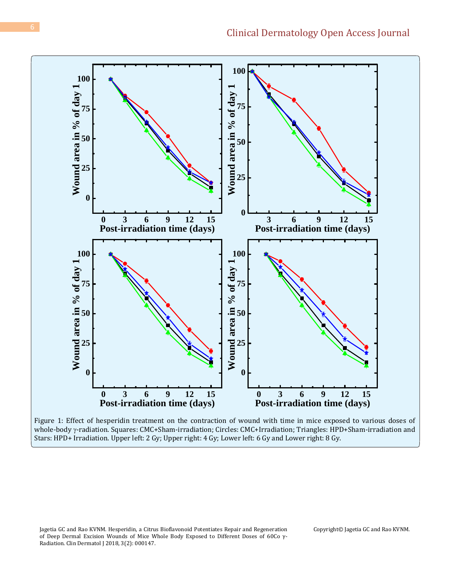

Figure 1: Effect of hesperidin treatment on the contraction of wound with time in mice exposed to various doses of whole-body y-radiation. Squares: CMC+Sham-irradiation; Circles: CMC+Irradiation; Triangles: HPD+Sham-irradiation and Stars: HPD+ Irradiation. Upper left: 2 Gy; Upper right: 4 Gy; Lower left: 6 Gy and Lower right: 8 Gy.

Jagetia GC and Rao KVNM. Hesperidin, a Citrus Bioflavonoid Potentiates Repair and Regeneration of Deep Dermal Excision Wounds of Mice Whole Body Exposed to Different Doses of 60Co γ-Radiation. Clin Dermatol J 2018, 3(2): 000147.

Copyright© Jagetia GC and Rao KVNM.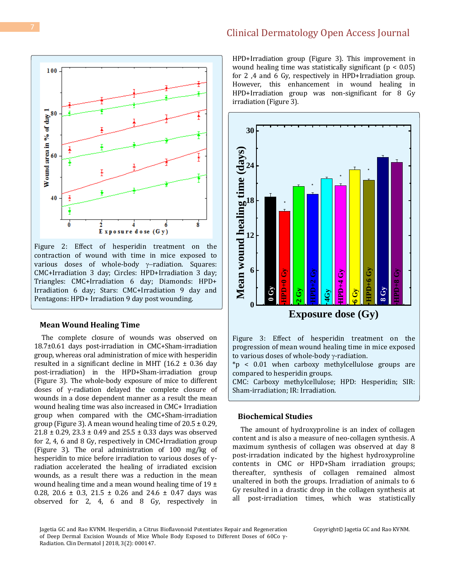

Figure 2: Effect of hesperidin treatment on the contraction of wound with time in mice exposed to various doses of whole-body  $\gamma$ -radiation. Squares: CMC+Irradiation 3 day; Circles: HPD+Irradiation 3 day; Triangles: CMC+Irradiation 6 day; Diamonds: HPD+ Irradiation 6 day; Stars: CMC+Irradiation 9 day and Pentagons: HPD+ Irradiation 9 day post wounding.

#### **Mean Wound Healing Time**

 The complete closure of wounds was observed on 18.7±0.61 days post-irradiation in CMC+Sham-irradiation group, whereas oral administration of mice with hesperidin resulted in a significant decline in MHT (16.2  $\pm$  0.36 day post-irradiation) in the HPD+Sham-irradiation group (Figure 3). The whole-body exposure of mice to different doses of γ-radiation delayed the complete closure of wounds in a dose dependent manner as a result the mean wound healing time was also increased in CMC+ Irradiation group when compared with the CMC+Sham-irradiation group (Figure 3). A mean wound healing time of  $20.5 \pm 0.29$ ,  $21.8 \pm 0.29$ ,  $23.3 \pm 0.49$  and  $25.5 \pm 0.33$  days was observed for 2, 4, 6 and 8 Gy, respectively in CMC+Irradiation group (Figure 3). The oral administration of 100 mg/kg of hesperidin to mice before irradiation to various doses of γradiation accelerated the healing of irradiated excision wounds, as a result there was a reduction in the mean wound healing time and a mean wound healing time of  $19 \pm$ 0.28, 20.6  $\pm$  0.3, 21.5  $\pm$  0.26 and 24.6  $\pm$  0.47 days was observed for 2, 4, 6 and 8 Gy, respectively in HPD+Irradiation group (Figure 3). This improvement in wound healing time was statistically significant ( $p < 0.05$ ) for 2 ,4 and 6 Gy, respectively in HPD+Irradiation group. However, this enhancement in wound healing in HPD+Irradiation group was non-significant for 8 Gy irradiation (Figure 3).



Figure 3: Effect of hesperidin treatment on the progression of mean wound healing time in mice exposed to various doses of whole-body  $\gamma$ -radiation.

\*p < 0.01 when carboxy methylcellulose groups are compared to hesperidin groups.

CMC: Carboxy methylcellulose; HPD: Hesperidin; SIR: Sham-irradiation; IR: Irradiation.

## **Biochemical Studies**

 The amount of hydroxyproline is an index of collagen content and is also a measure of neo-collagen synthesis. A maximum synthesis of collagen was observed at day 8 post-irradation indicated by the highest hydroxyproline contents in CMC or HPD+Sham irradiation groups; thereafter, synthesis of collagen remained almost unaltered in both the groups. Irradiation of animals to 6 Gy resulted in a drastic drop in the collagen synthesis at all post-irradiation times, which was statistically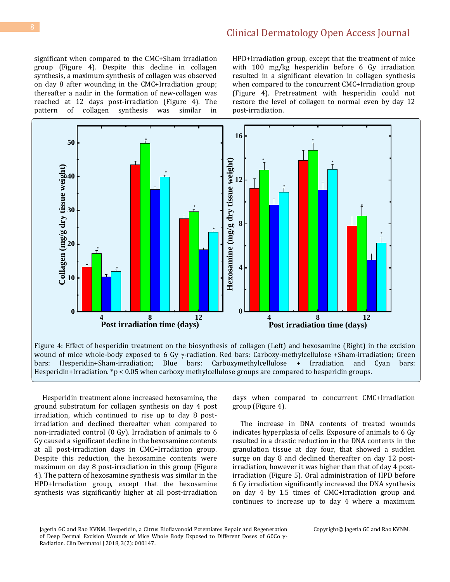significant when compared to the CMC+Sham irradiation group (Figure 4). Despite this decline in collagen synthesis, a maximum synthesis of collagen was observed on day 8 after wounding in the CMC+Irradiation group; thereafter a nadir in the formation of new-collagen was reached at 12 days post-irradiation (Figure 4). The pattern of collagen synthesis was similar in

HPD+Irradiation group, except that the treatment of mice with 100 mg/kg hesperidin before 6 Gy irradiation resulted in a significant elevation in collagen synthesis when compared to the concurrent CMC+Irradiation group (Figure 4). Pretreatment with hesperidin could not restore the level of collagen to normal even by day 12 post-irradiation.



 Hesperidin treatment alone increased hexosamine, the ground substratum for collagen synthesis on day 4 post irradiation, which continued to rise up to day 8 postirradiation and declined thereafter when compared to non-irradiated control (0 Gy). Irradiation of animals to 6 Gy caused a significant decline in the hexosamine contents at all post-irradiation days in CMC+Irradiation group. Despite this reduction, the hexosamine contents were maximum on day 8 post-irradiation in this group (Figure 4). The pattern of hexosamine synthesis was similar in the HPD+Irradiation group, except that the hexosamine synthesis was significantly higher at all post-irradiation days when compared to concurrent CMC+Irradiation group (Figure 4).

 The increase in DNA contents of treated wounds indicates hyperplasia of cells. Exposure of animals to 6 Gy resulted in a drastic reduction in the DNA contents in the granulation tissue at day four, that showed a sudden surge on day 8 and declined thereafter on day 12 postirradiation, however it was higher than that of day 4 postirradiation (Figure 5). Oral administration of HPD before 6 Gy irradiation significantly increased the DNA synthesis on day 4 by 1.5 times of CMC+Irradiation group and continues to increase up to day 4 where a maximum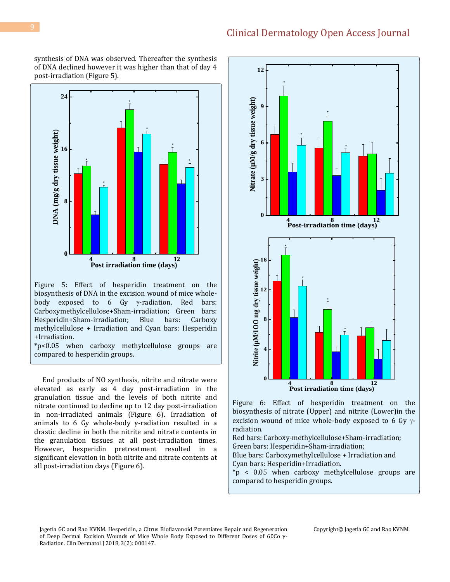synthesis of DNA was observed. Thereafter the synthesis of DNA declined however it was higher than that of day 4 post-irradiation (Figure 5).



Figure 5: Effect of hesperidin treatment on the biosynthesis of DNA in the excision wound of mice wholebody exposed to  $6$  Gy  $\gamma$ -radiation. Red bars: Carboxymethylcellulose+Sham-irradiation; Green bars: Hesperidin+Sham-irradiation; Blue bars: Carboxy methylcellulose + Irradiation and Cyan bars: Hesperidin +Irradiation.

\*p<0.05 when carboxy methylcellulose groups are compared to hesperidin groups.

 End products of NO synthesis, nitrite and nitrate were elevated as early as 4 day post-irradiation in the granulation tissue and the levels of both nitrite and nitrate continued to decline up to 12 day post-irradiation in non-irradiated animals (Figure 6). Irradiation of animals to 6 Gy whole-body γ-radiation resulted in a drastic decline in both the nitrite and nitrate contents in the granulation tissues at all post-irradiation times. However, hesperidin pretreatment resulted in a significant elevation in both nitrite and nitrate contents at all post-irradiation days (Figure 6).



Figure 6: Effect of hesperidin treatment on the biosynthesis of nitrate (Upper) and nitrite (Lower)in the excision wound of mice whole-body exposed to 6 Gy  $\gamma$ radiation.

Red bars: Carboxy-methylcellulose+Sham-irradiation; Green bars: Hesperidin+Sham-irradiation;

Blue bars: Carboxymethylcellulose + Irradiation and Cyan bars: Hesperidin+Irradiation.

\*p < 0.05 when carboxy methylcellulose groups are compared to hesperidin groups.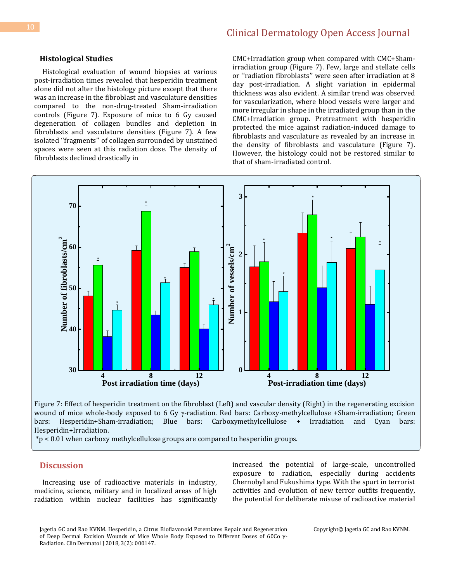#### **Histological Studies**

 Histological evaluation of wound biopsies at various post-irradiation times revealed that hesperidin treatment alone did not alter the histology picture except that there was an increase in the fibroblast and vasculature densities compared to the non-drug-treated Sham-irradiation controls (Figure 7). Exposure of mice to 6 Gy caused degeneration of collagen bundles and depletion in fibroblasts and vasculature densities (Figure 7). A few isolated ''fragments'' of collagen surrounded by unstained spaces were seen at this radiation dose. The density of fibroblasts declined drastically in

CMC+Irradiation group when compared with CMC+Shamirradiation group (Figure 7). Few, large and stellate cells or ''radiation fibroblasts'' were seen after irradiation at 8 day post-irradiation. A slight variation in epidermal thickness was also evident. A similar trend was observed for vascularization, where blood vessels were larger and more irregular in shape in the irradiated group than in the CMC+Irradiation group. Pretreatment with hesperidin protected the mice against radiation-induced damage to fibroblasts and vasculature as revealed by an increase in the density of fibroblasts and vasculature (Figure 7). However, the histology could not be restored similar to that of sham-irradiated control.



Figure 7: Effect of hesperidin treatment on the fibroblast (Left) and vascular density (Right) in the regenerating excision wound of mice whole-body exposed to 6 Gy  $\gamma$ -radiation. Red bars: Carboxy-methylcellulose +Sham-irradiation; Green bars: Hesperidin+Sham-irradiation; Blue bars: Carboxymethylcellulose + Irradiation and Cyan bars: Hesperidin+Irradiation.

\*p < 0.01 when carboxy methylcellulose groups are compared to hesperidin groups.

## **Discussion**

 Increasing use of radioactive materials in industry, medicine, science, military and in localized areas of high radiation within nuclear facilities has significantly increased the potential of large-scale, uncontrolled exposure to radiation, especially during accidents Chernobyl and Fukushima type. With the spurt in terrorist activities and evolution of new terror outfits frequently, the potential for deliberate misuse of radioactive material

Jagetia GC and Rao KVNM. Hesperidin, a Citrus Bioflavonoid Potentiates Repair and Regeneration of Deep Dermal Excision Wounds of Mice Whole Body Exposed to Different Doses of 60Co γ-Radiation. Clin Dermatol J 2018, 3(2): 000147.

Copyright© Jagetia GC and Rao KVNM.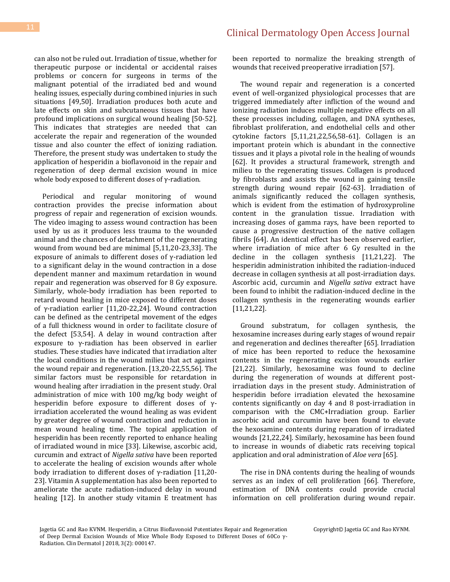can also not be ruled out. Irradiation of tissue, whether for therapeutic purpose or incidental or accidental raises problems or concern for surgeons in terms of the malignant potential of the irradiated bed and wound healing issues, especially during combined injuries in such situations [49,50]. Irradiation produces both acute and late effects on skin and subcutaneous tissues that have profound implications on surgical wound healing [50-52]. This indicates that strategies are needed that can accelerate the repair and regeneration of the wounded tissue and also counter the effect of ionizing radiation. Therefore, the present study was undertaken to study the application of hesperidin a bioflavonoid in the repair and regeneration of deep dermal excision wound in mice whole body exposed to different doses of γ-radiation.

 Periodical and regular monitoring of wound contraction provides the precise information about progress of repair and regeneration of excision wounds. The video imaging to assess wound contraction has been used by us as it produces less trauma to the wounded animal and the chances of detachment of the regenerating wound from wound bed are minimal [5,11,20-23,33]. The exposure of animals to different doses of γ-radiation led to a significant delay in the wound contraction in a dose dependent manner and maximum retardation in wound repair and regeneration was observed for 8 Gy exposure. Similarly, whole-body irradiation has been reported to retard wound healing in mice exposed to different doses of γ-radiation earlier [11,20-22,24]. Wound contraction can be defined as the centripetal movement of the edges of a full thickness wound in order to facilitate closure of the defect [53,54]. A delay in wound contraction after exposure to γ-radiation has been observed in earlier studies. These studies have indicated that irradiation alter the local conditions in the wound milieu that act against the wound repair and regeneration. [13,20-22,55,56]. The similar factors must be responsible for retardation in wound healing after irradiation in the present study. Oral administration of mice with 100 mg/kg body weight of hesperidin before exposure to different doses of γirradiation accelerated the wound healing as was evident by greater degree of wound contraction and reduction in mean wound healing time. The topical application of hesperidin has been recently reported to enhance healing of irradiated wound in mice [33]. Likewise, ascorbic acid, curcumin and extract of *Nigella sativa* have been reported to accelerate the healing of excision wounds after whole body irradiation to different doses of γ-radiation [11,20- 23]. Vitamin A supplementation has also been reported to ameliorate the acute radiation-induced delay in wound healing [12]. In another study vitamin E treatment has been reported to normalize the breaking strength of wounds that received preoperative irradiation [57].

 The wound repair and regeneration is a concerted event of well-organized physiological processes that are triggered immediately after infliction of the wound and ionizing radiation induces multiple negative effects on all these processes including, collagen, and DNA syntheses, fibroblast proliferation, and endothelial cells and other cytokine factors [5,11,21,22,56,58-61]. Collagen is an important protein which is abundant in the connective tissues and it plays a pivotal role in the healing of wounds [62]. It provides a structural framework, strength and milieu to the regenerating tissues. Collagen is produced by fibroblasts and assists the wound in gaining tensile strength during wound repair [62-63]. Irradiation of animals significantly reduced the collagen synthesis, which is evident from the estimation of hydroxyproline content in the granulation tissue. Irradiation with increasing doses of gamma rays, have been reported to cause a progressive destruction of the native collagen fibrils [64]. An identical effect has been observed earlier, where irradiation of mice after 6 Gy resulted in the decline in the collagen synthesis [11,21,22]. The hesperidin administration inhibited the radiation-induced decrease in collagen synthesis at all post-irradiation days. Ascorbic acid, curcumin and *Nigella sativa* extract have been found to inhibit the radiation-induced decline in the collagen synthesis in the regenerating wounds earlier [11,21,22].

 Ground substratum, for collagen synthesis, the hexosamine increases during early stages of wound repair and regeneration and declines thereafter [65]. Irradiation of mice has been reported to reduce the hexosamine contents in the regenerating excision wounds earlier [21,22]. Similarly, hexosamine was found to decline during the regeneration of wounds at different postirradiation days in the present study. Administration of hesperidin before irradiation elevated the hexosamine contents significantly on day 4 and 8 post-irradiation in comparison with the CMC+Irradiation group. Earlier ascorbic acid and curcumin have been found to elevate the hexosamine contents during reparation of irradiated wounds [21,22,24]. Similarly, hexosamine has been found to increase in wounds of diabetic rats receiving topical application and oral administration of *Aloe vera* [65].

 The rise in DNA contents during the healing of wounds serves as an index of cell proliferation [66]. Therefore, estimation of DNA contents could provide crucial information on cell proliferation during wound repair.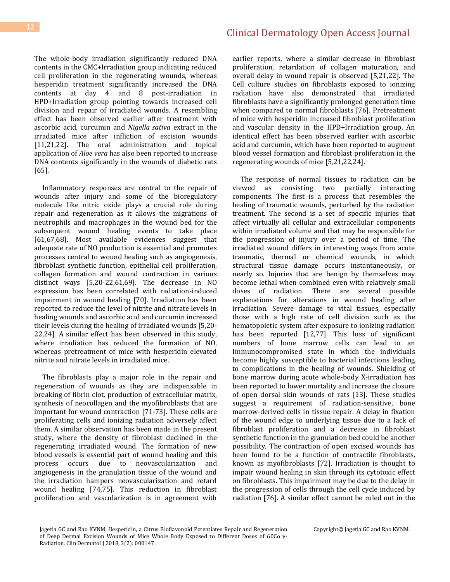The whole-body irradiation significantly reduced DNA contents in the CMC+Irradiation group indicating reduced cell proliferation in the regenerating wounds, whereas hesperidin treatment significantly increased the DNA contents at day 4 and 8 post-irradiation in HPD+Irradiation group pointing towards increased cell division and repair of irradiated wounds. A resembling effect has been observed earlier after treatment with ascorbic acid, curcumin and *Nigella sativa* extract in the irradiated mice after infliction of excision wounds [11,21,22]. The oral administration and topical application of *Aloe vera* has also been reported to increase DNA contents significantly in the wounds of diabetic rats [65].

 Inflammatory responses are central to the repair of wounds after injury and some of the bioregulatory molecule like nitric oxide plays a crucial role during repair and regeneration as it allows the migrations of neutrophils and macrophages in the wound bed for the subsequent wound healing events to take place [61,67,68]. Most available evidences suggest that adequate rate of NO production is essential and promotes processes central to wound healing such as angiogenesis, fibroblast synthetic function, epithelial cell proliferation, collagen formation and wound contraction in various distinct ways [5,20-22,61,69]. The decrease in NO expression has been correlated with radiation-induced impairment in wound healing [70]. Irradiation has been reported to reduce the level of nitrite and nitrate levels in healing wounds and ascorbic acid and curcumin increased their levels during the healing of irradiated wounds [5,20- 22,24]. A similar effect has been observed in this study, where irradiation has reduced the formation of NO, whereas pretreatment of mice with hesperidin elevated nitrite and nitrate levels in irradiated mice.

 The fibroblasts play a major role in the repair and regeneration of wounds as they are indispensable in breaking of fibrin clot, production of extracellular matrix, synthesis of neocollagen and the myofibroblasts that are important for wound contraction [71-73]. These cells are proliferating cells and ionizing radiation adversely affect them. A similar observation has been made in the present study, where the density of fibroblast declined in the regenerating irradiated wound. The formation of new blood vessels is essential part of wound healing and this process occurs due to neovascularization and angiogenesis in the granulation tissue of the wound and the irradiation hampers neovascularization and retard wound healing [74,75]. This reduction in fibroblast proliferation and vascularization is in agreement with earlier reports, where a similar decrease in fibroblast proliferation, retardation of collagen maturation, and overall delay in wound repair is observed [5,21,22]. The Cell culture studies on fibroblasts exposed to ionizing radiation have also demonstrated that irradiated fibroblasts have a significantly prolonged generation time when compared to normal fibroblasts [76]. Pretreatment of mice with hesperidin increased fibroblast proliferation and vascular density in the HPD+Irradiation group. An identical effect has been observed earlier with ascorbic acid and curcumin, which have been reported to augment blood vessel formation and fibroblast proliferation in the regenerating wounds of mice [5,21,22,24].

 The response of normal tissues to radiation can be viewed as consisting two partially interacting components. The first is a process that resembles the healing of traumatic wounds, perturbed by the radiation treatment. The second is a set of specific injuries that affect virtually all cellular and extracellular components within irradiated volume and that may be responsible for the progression of injury over a period of time. The irradiated wound differs in interesting ways from acute traumatic, thermal or chemical wounds, in which structural tissue damage occurs instantaneously, or nearly so. Injuries that are benign by themselves may become lethal when combined even with relatively small doses of radiation. There are several possible explanations for alterations in wound healing after irradiation. Severe damage to vital tissues, especially those with a high rate of cell division such as the hematopoietic system after exposure to ionizing radiation has been reported [12,77]. This loss of significant numbers of bone marrow cells can lead to an Immunocompromised state in which the individuals become highly susceptible to bacterial infections leading to complications in the healing of wounds. Shielding of bone marrow during acute whole-body X-irradiation has been reported to lower mortality and increase the closure of open dorsal skin wounds of rats [13]. These studies suggest a requirement of radiation-sensitive, bone marrow-derived cells in tissue repair. A delay in fixation of the wound edge to underlying tissue due to a lack of fibroblast proliferation and a decrease in fibroblast synthetic function in the granulation bed could be another possibility. The contraction of open excised wounds has been found to be a function of contractile fibroblasts, known as myofibroblasts [72]. Irradiation is thought to impair wound healing in skin through its cytotoxic effect on fibroblasts. This impairment may be due to the delay in the progression of cells through the cell cycle induced by radiation [76]. A similar effect cannot be ruled out in the

Jagetia GC and Rao KVNM. Hesperidin, a Citrus Bioflavonoid Potentiates Repair and Regeneration of Deep Dermal Excision Wounds of Mice Whole Body Exposed to Different Doses of 60Co γ-Radiation. Clin Dermatol J 2018, 3(2): 000147.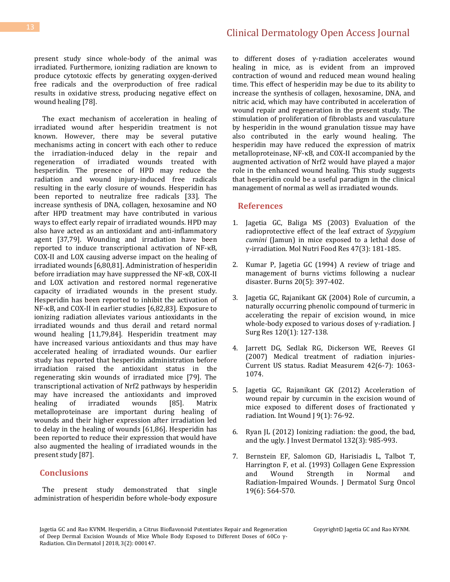present study since whole-body of the animal was irradiated. Furthermore, ionizing radiation are known to produce cytotoxic effects by generating oxygen-derived free radicals and the overproduction of free radical results in oxidative stress, producing negative effect on wound healing [78].

 The exact mechanism of acceleration in healing of irradiated wound after hesperidin treatment is not known. However, there may be several putative mechanisms acting in concert with each other to reduce the irradiation-induced delay in the repair and regeneration of irradiated wounds treated with hesperidin. The presence of HPD may reduce the radiation and wound injury-induced free radicals resulting in the early closure of wounds. Hesperidin has been reported to neutralize free radicals [33]. The increase synthesis of DNA, collagen, hexosamine and NO after HPD treatment may have contributed in various ways to effect early repair of irradiated wounds. HPD may also have acted as an antioxidant and anti-inflammatory agent [37,79]. Wounding and irradiation have been reported to induce transcriptional activation of NF-κB, COX-II and LOX causing adverse impact on the healing of irradiated wounds [6,80,81]. Administration of hesperidin before irradiation may have suppressed the NF-κB, COX-II and LOX activation and restored normal regenerative capacity of irradiated wounds in the present study. Hesperidin has been reported to inhibit the activation of NF-κB, and COX-II in earlier studies [6,82,83]. Exposure to ionizing radiation alleviates various antioxidants in the irradiated wounds and thus derail and retard normal wound healing [11,79,84]. Hesperidin treatment may have increased various antioxidants and thus may have accelerated healing of irradiated wounds. Our earlier study has reported that hesperidin administration before irradiation raised the antioxidant status in the regenerating skin wounds of irradiated mice [79]. The transcriptional activation of Nrf2 pathways by hesperidin may have increased the antioxidants and improved healing of irradiated wounds [85]. Matrix metalloproteinase are important during healing of wounds and their higher expression after irradiation led to delay in the healing of wounds [61,86]. Hesperidin has been reported to reduce their expression that would have also augmented the healing of irradiated wounds in the present study [87].

## **Conclusions**

 The present study demonstrated that single administration of hesperidin before whole-body exposure

to different doses of γ-radiation accelerates wound healing in mice, as is evident from an improved contraction of wound and reduced mean wound healing time. This effect of hesperidin may be due to its ability to increase the synthesis of collagen, hexosamine, DNA, and nitric acid, which may have contributed in acceleration of wound repair and regeneration in the present study. The stimulation of proliferation of fibroblasts and vasculature by hesperidin in the wound granulation tissue may have also contributed in the early wound healing. The hesperidin may have reduced the expression of matrix metalloproteinase, NF-κB, and COX-II accompanied by the augmented activation of Nrf2 would have played a major role in the enhanced wound healing. This study suggests that hesperidin could be a useful paradigm in the clinical management of normal as well as irradiated wounds.

## **References**

- 1. [Jagetia GC, Baliga MS \(2003\) Evaluation of the](https://onlinelibrary.wiley.com/doi/abs/10.1002/food.200390042)  [radioprotective effect of the leaf extract of](https://onlinelibrary.wiley.com/doi/abs/10.1002/food.200390042) *Syzygium cumini* [\(Jamun\) in mice exposed to a lethal dose of](https://onlinelibrary.wiley.com/doi/abs/10.1002/food.200390042)  [γ‐irradiation. Mol Nutri Food Res 47\(3\): 181](https://onlinelibrary.wiley.com/doi/abs/10.1002/food.200390042)-185.
- 2. [Kumar P, Jagetia GC \(1994\) A review of triage and](https://www.ncbi.nlm.nih.gov/pubmed/7999266)  [management of burns victims following a nuclear](https://www.ncbi.nlm.nih.gov/pubmed/7999266)  [disaster. Burns 20\(5\): 397-402.](https://www.ncbi.nlm.nih.gov/pubmed/7999266)
- 3. [Jagetia GC, Rajanikant GK \(2004\) Role of curcumin, a](https://www.ncbi.nlm.nih.gov/pubmed/15172199)  [naturally occurring phenolic compound of turmeric in](https://www.ncbi.nlm.nih.gov/pubmed/15172199)  [accelerating the repair of excision wound, in mice](https://www.ncbi.nlm.nih.gov/pubmed/15172199)  whole-body exposed to various doses of  $\gamma$ -radiation. J [Surg Res 120\(1\): 127-138.](https://www.ncbi.nlm.nih.gov/pubmed/15172199)
- 4. [Jarrett DG, Sedlak RG, Dickerson WE, Reeves GI](https://www.sciencedirect.com/science/article/abs/pii/S1350448707002466)  [\(2007\) Medical treatment of radiation injuries-](https://www.sciencedirect.com/science/article/abs/pii/S1350448707002466)[Current US status. Radiat Measurem 42\(6-7\): 1063-](https://www.sciencedirect.com/science/article/abs/pii/S1350448707002466) [1074.](https://www.sciencedirect.com/science/article/abs/pii/S1350448707002466)
- 5. [Jagetia GC, Rajanikant GK \(2012\) Acceleration of](https://www.ncbi.nlm.nih.gov/pubmed/21883936)  [wound repair by curcumin in the excision wound of](https://www.ncbi.nlm.nih.gov/pubmed/21883936)  [mice exposed to different doses of fractionated γ](https://www.ncbi.nlm.nih.gov/pubmed/21883936)  [radiation. Int Wound J 9\(1\): 76-92.](https://www.ncbi.nlm.nih.gov/pubmed/21883936)
- 6. [Ryan JL \(2012\) Ionizing radiation: the good, the bad,](https://www.ncbi.nlm.nih.gov/pubmed/22217743)  and [the ugly. J Invest Dermatol 132\(3\): 985-993.](https://www.ncbi.nlm.nih.gov/pubmed/22217743)
- 7. [Bernstein EF, Salomon GD, Harisiadis L, Talbot T,](https://www.ncbi.nlm.nih.gov/pubmed/8509518)  [Harrington F, et al. \(1993\) Collagen Gene Expression](https://www.ncbi.nlm.nih.gov/pubmed/8509518)  [and Wound Strength in Normal and](https://www.ncbi.nlm.nih.gov/pubmed/8509518)  Radiation‐Impa[ired Wounds. J Dermatol Surg Oncol](https://www.ncbi.nlm.nih.gov/pubmed/8509518)  [19\(6\): 564-570.](https://www.ncbi.nlm.nih.gov/pubmed/8509518)

Jagetia GC and Rao KVNM. Hesperidin, a Citrus Bioflavonoid Potentiates Repair and Regeneration of Deep Dermal Excision Wounds of Mice Whole Body Exposed to Different Doses of 60Co γ-Radiation. Clin Dermatol J 2018, 3(2): 000147.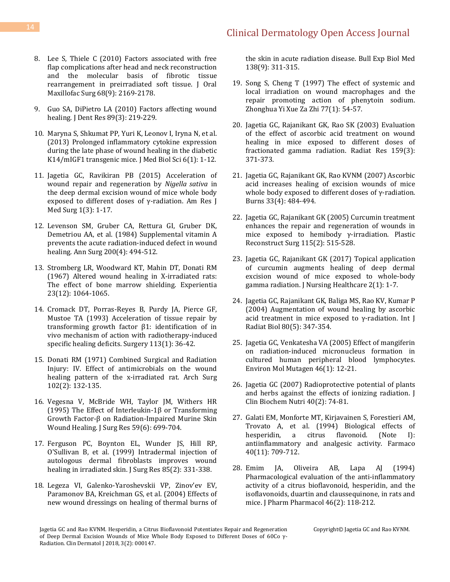- 8. [Lee S, Thiele C \(2010\) Factors associated with free](https://www.ncbi.nlm.nih.gov/pubmed/20605307)  [flap complications after head and neck reconstruction](https://www.ncbi.nlm.nih.gov/pubmed/20605307)  [and the molecular basis of fibrotic tissue](https://www.ncbi.nlm.nih.gov/pubmed/20605307)  [rearrangement in preirradiated soft tissue. J Oral](https://www.ncbi.nlm.nih.gov/pubmed/20605307)  [Maxillofac Surg 68\(9\): 2169-2178.](https://www.ncbi.nlm.nih.gov/pubmed/20605307)
- 9. [Guo SA, DiPietro LA \(2010\) Factors affecting wound](https://www.ncbi.nlm.nih.gov/pmc/articles/PMC2903966/)  [healing. J Dent Res 89\(3\): 219-229.](https://www.ncbi.nlm.nih.gov/pmc/articles/PMC2903966/)
- 10. Maryna S, Shkumat PP, Yuri K, Leonov I, Iryna N, et al. (2013) Prolonged inflammatory cytokine expression during the late phase of wound healing in the diabetic K14/mIGF1 transgenic mice. J Med Biol Sci 6(1): 1-12.
- 11. [Jagetia GC, Ravikiran PB \(2015\) Acceleration of](https://pdfs.semanticscholar.org/c072/555cadf768dbefa0e76ecd2175362345c1bb.pdf)  [wound repair and regeneration by](https://pdfs.semanticscholar.org/c072/555cadf768dbefa0e76ecd2175362345c1bb.pdf) *Nigella sativa* in [the deep dermal excision wound of mice whole body](https://pdfs.semanticscholar.org/c072/555cadf768dbefa0e76ecd2175362345c1bb.pdf)  [exposed to different doses of γ](https://pdfs.semanticscholar.org/c072/555cadf768dbefa0e76ecd2175362345c1bb.pdf)-radiation. Am Res J [Med Surg 1\(3\): 1-17.](https://pdfs.semanticscholar.org/c072/555cadf768dbefa0e76ecd2175362345c1bb.pdf)
- 12. [Levenson SM, Gruber CA, Rettura GI, Gruber DK,](https://www.ncbi.nlm.nih.gov/pubmed/6385875)  [Demetriou AA, et al. \(1984\) Supplemental vitamin A](https://www.ncbi.nlm.nih.gov/pubmed/6385875)  [prevents the acute radiation-induced defect in wound](https://www.ncbi.nlm.nih.gov/pubmed/6385875)  [healing. Ann Surg 200\(4\): 494-512.](https://www.ncbi.nlm.nih.gov/pubmed/6385875)
- 13. [Stromberg LR, Woodward KT, Mahin DT, Donati RM](https://www.ncbi.nlm.nih.gov/pubmed/6077887)  [\(1967\) Altered wound healing in X-irradiated rats:](https://www.ncbi.nlm.nih.gov/pubmed/6077887)  [The effect of bone marrow shielding. Experientia](https://www.ncbi.nlm.nih.gov/pubmed/6077887)  [23\(12\): 1064-1065.](https://www.ncbi.nlm.nih.gov/pubmed/6077887)
- 14. [Cromack DT, Porras-Reyes B, Purdy JA, Pierce GF,](https://www.ncbi.nlm.nih.gov/pubmed/8417485)  [Mustoe TA \(1993\) Acceleration of tissue repair by](https://www.ncbi.nlm.nih.gov/pubmed/8417485)  [transforming growth factor β1: identification of in](https://www.ncbi.nlm.nih.gov/pubmed/8417485)  [vivo mechanism of action with radiotherapy-induced](https://www.ncbi.nlm.nih.gov/pubmed/8417485)  [specific healing deficits. Surgery 113\(1\): 36-42.](https://www.ncbi.nlm.nih.gov/pubmed/8417485)
- 15. [Donati RM \(1971\) Combined Surgical and Radiation](https://jamanetwork.com/journals/jamasurgery/article-abstract/571340?redirect=true)  [Injury: IV. Effect of antimicrobials on the wound](https://jamanetwork.com/journals/jamasurgery/article-abstract/571340?redirect=true)  [healing pattern of the x-irradiated rat. Arch Surg](https://jamanetwork.com/journals/jamasurgery/article-abstract/571340?redirect=true)  [102\(2\): 132-135.](https://jamanetwork.com/journals/jamasurgery/article-abstract/571340?redirect=true)
- 16. [Vegesna V, McBride WH, Taylor JM, Withers HR](https://www.ncbi.nlm.nih.gov/pubmed/8538168)  [\(1995\) The Effect of Interleukin-](https://www.ncbi.nlm.nih.gov/pubmed/8538168)1β or Transforming Growth Factor-β on Radiation[-Impaired Murine Skin](https://www.ncbi.nlm.nih.gov/pubmed/8538168)  [Wound Healing. J Surg Res 59\(6\): 699-704.](https://www.ncbi.nlm.nih.gov/pubmed/8538168)
- 17. [Ferguson PC, Boynton EL, Wunder JS, Hill RP,](https://www.ncbi.nlm.nih.gov/pubmed/10423337)  [O'Sullivan B, et al. \(1999\) Intradermal injection of](https://www.ncbi.nlm.nih.gov/pubmed/10423337)  [autologous dermal fibroblasts improves wound](https://www.ncbi.nlm.nih.gov/pubmed/10423337)  [healing in irradiated skin. J Surg Res 85\(2\): 331-338.](https://www.ncbi.nlm.nih.gov/pubmed/10423337)
- 18. Legeza VI, Galenko-[Yaroshevskii VP, Zinov'ev EV,](https://www.ncbi.nlm.nih.gov/pubmed/15665932)  [Paramonov BA, Kreichman GS, et al. \(2004\) Effects of](https://www.ncbi.nlm.nih.gov/pubmed/15665932)  [new wound dressings on healing of thermal burns of](https://www.ncbi.nlm.nih.gov/pubmed/15665932)

the [skin in acute radiation disease. Bull Exp Biol Med](https://www.ncbi.nlm.nih.gov/pubmed/15665932)  [138\(9\): 311-315.](https://www.ncbi.nlm.nih.gov/pubmed/15665932)

- 19. [Song S, Cheng T \(1997\) The effect of systemic and](https://www.ncbi.nlm.nih.gov/pubmed/9596980)  [local irradiation on wound macrophages and the](https://www.ncbi.nlm.nih.gov/pubmed/9596980)  [repair promoting action of phenytoin sodium.](https://www.ncbi.nlm.nih.gov/pubmed/9596980)  [Zhonghua Yi Xue Za Zhi 77\(1\): 54-57.](https://www.ncbi.nlm.nih.gov/pubmed/9596980)
- 20. [Jagetia GC, Rajanikant GK, Rao SK \(2003\) Evaluation](https://www.ncbi.nlm.nih.gov/pubmed/12600240)  [of the effect of ascorbic acid treatment on wound](https://www.ncbi.nlm.nih.gov/pubmed/12600240)  [healing in mice exposed to different doses of](https://www.ncbi.nlm.nih.gov/pubmed/12600240)  [fractionated gamma radiation. Radiat Res 159\(3\):](https://www.ncbi.nlm.nih.gov/pubmed/12600240)  [371-373.](https://www.ncbi.nlm.nih.gov/pubmed/12600240)
- 21. [Jagetia GC, Rajanikant GK, Rao KVNM \(2007\) Ascorbic](https://www.ncbi.nlm.nih.gov/pubmed/17223272)  [acid increases healing of excision wounds of mice](https://www.ncbi.nlm.nih.gov/pubmed/17223272)  [whole body exposed to](https://www.ncbi.nlm.nih.gov/pubmed/17223272) different doses of γ-radiation. [Burns 33\(4\): 484-494.](https://www.ncbi.nlm.nih.gov/pubmed/17223272)
- 22. [Jagetia GC, Rajanikant GK \(2005\) Curcumin treatment](https://www.ncbi.nlm.nih.gov/pubmed/15692358)  [enhances the repair and regeneration of wounds in](https://www.ncbi.nlm.nih.gov/pubmed/15692358)  [mice exposed to hemibody γ](https://www.ncbi.nlm.nih.gov/pubmed/15692358)-irradiation. Plastic [Reconstruct Surg 115\(2\): 515-528.](https://www.ncbi.nlm.nih.gov/pubmed/15692358)
- 23. [Jagetia GC, Rajanikant GK \(2017\) Topical application](http://www.opastonline.com/wp-content/uploads/2017/02/topical-application-of-curcumin-augments-healing-of-deep-dermal-excision-wound-of-mice-exposed-to-whole-body-gamma-radiation-027.pdf)  [of curcumin augments healing of deep dermal](http://www.opastonline.com/wp-content/uploads/2017/02/topical-application-of-curcumin-augments-healing-of-deep-dermal-excision-wound-of-mice-exposed-to-whole-body-gamma-radiation-027.pdf)  [excision wound of mice exposed to whole-body](http://www.opastonline.com/wp-content/uploads/2017/02/topical-application-of-curcumin-augments-healing-of-deep-dermal-excision-wound-of-mice-exposed-to-whole-body-gamma-radiation-027.pdf)  [gamma radiation. J Nursing Healthcare 2\(1\): 1-7.](http://www.opastonline.com/wp-content/uploads/2017/02/topical-application-of-curcumin-augments-healing-of-deep-dermal-excision-wound-of-mice-exposed-to-whole-body-gamma-radiation-027.pdf)
- 24. [Jagetia GC, Rajanikant GK, Baliga MS, Rao KV, Kumar P](https://www.ncbi.nlm.nih.gov/pubmed/15223767)  [\(2004\) Augmentation of wound healing by ascorbic](https://www.ncbi.nlm.nih.gov/pubmed/15223767)  acid treatment in mice exposed to  $γ$ -radiation. Int J [Radiat Biol 80\(5\): 347-354.](https://www.ncbi.nlm.nih.gov/pubmed/15223767)
- 25. Jagetia GC, Venkatesha VA [\(2005\) Effect of mangiferin](https://www.ncbi.nlm.nih.gov/pubmed/15795888)  [on radiation‐induced micronucleus formation in](https://www.ncbi.nlm.nih.gov/pubmed/15795888)  [cultured human peripheral blood lymphocytes.](https://www.ncbi.nlm.nih.gov/pubmed/15795888)  [Environ Mol Mutagen 46\(1\): 12-21.](https://www.ncbi.nlm.nih.gov/pubmed/15795888)
- 26. [Jagetia GC \(2007\) Radioprotective potential of plants](https://www.ncbi.nlm.nih.gov/pubmed/18188408)  [and herbs against the effects of ionizing radiation. J](https://www.ncbi.nlm.nih.gov/pubmed/18188408)  [Clin Biochem Nutri 40\(2\): 74-81.](https://www.ncbi.nlm.nih.gov/pubmed/18188408)
- 27. [Galati EM, Monforte MT, Kirjavainen S, Forestieri AM,](https://www.ncbi.nlm.nih.gov/pubmed/7832973)  [Trovato A, et al. \(1994\) Biological effects of](https://www.ncbi.nlm.nih.gov/pubmed/7832973)  [hesperidin, a citrus flavonoid. \(Note I\):](https://www.ncbi.nlm.nih.gov/pubmed/7832973)  [antiinflammatory and analgesic activity. Farmaco](https://www.ncbi.nlm.nih.gov/pubmed/7832973)  [40\(11\): 709-712.](https://www.ncbi.nlm.nih.gov/pubmed/7832973)
- 28. [Emim JA, Oliveira AB, Lapa AJ \(1994\)](https://www.ncbi.nlm.nih.gov/pubmed/8021799)  Pharmacological evaluation of the anti-inflammatory [activity of a citrus bioflavonoid, hesperidin, and the](https://www.ncbi.nlm.nih.gov/pubmed/8021799)  [isoflavonoids, duartin and claussequinone, in rats and](https://www.ncbi.nlm.nih.gov/pubmed/8021799)  [mice. J Pharm Pharmacol 46\(2\): 118-212.](https://www.ncbi.nlm.nih.gov/pubmed/8021799)

Jagetia GC and Rao KVNM. Hesperidin, a Citrus Bioflavonoid Potentiates Repair and Regeneration of Deep Dermal Excision Wounds of Mice Whole Body Exposed to Different Doses of 60Co γ-Radiation. Clin Dermatol J 2018, 3(2): 000147.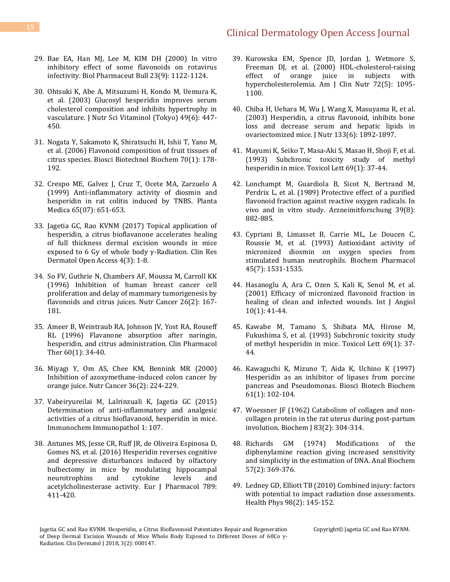- 29. [Bae EA, Han MJ, Lee M, KIM DH \(2000\) In vitro](https://www.ncbi.nlm.nih.gov/pubmed/10993220)  [inhibitory effect of some flavonoids on rotavirus](https://www.ncbi.nlm.nih.gov/pubmed/10993220)  [infectivity. Biol Pharmaceut Bull 23\(9\): 1122-1124.](https://www.ncbi.nlm.nih.gov/pubmed/10993220)
- 30. [Ohtsuki K, Abe A, Mitsuzumi H, Kondo M, Uemura K,](https://www.ncbi.nlm.nih.gov/pubmed/14974738)  [et al. \(2003\) Glucosyl hesperidin improves serum](https://www.ncbi.nlm.nih.gov/pubmed/14974738)  [cholesterol composition and inhibits hypertrophy in](https://www.ncbi.nlm.nih.gov/pubmed/14974738)  [vasculature. J Nutr Sci Vitaminol \(Tokyo\) 49\(6\): 447-](https://www.ncbi.nlm.nih.gov/pubmed/14974738) [450.](https://www.ncbi.nlm.nih.gov/pubmed/14974738)
- 31. [Nogata Y, Sakamoto K, Shiratsuchi H, Ishii T, Yano M,](https://www.ncbi.nlm.nih.gov/pubmed/16428836)  [et al. \(2006\) Flavonoid composition of fruit tissues of](https://www.ncbi.nlm.nih.gov/pubmed/16428836)  [citrus species. Biosci Biotechnol Biochem 70\(1\): 178-](https://www.ncbi.nlm.nih.gov/pubmed/16428836) [192.](https://www.ncbi.nlm.nih.gov/pubmed/16428836)
- 32. [Crespo ME, Galvez J, Cruz T, Ocete MA, Zarzuelo A](https://www.ncbi.nlm.nih.gov/pubmed/10575379)  [\(1999\) Anti-inflammatory activity of diosmin and](https://www.ncbi.nlm.nih.gov/pubmed/10575379)  [hesperidin in rat colitis induced by TNBS. Planta](https://www.ncbi.nlm.nih.gov/pubmed/10575379)  [Medica 65\(07\): 651-653.](https://www.ncbi.nlm.nih.gov/pubmed/10575379)
- 33. [Jagetia GC, Rao KVNM \(2017\) Topical application of](https://symbiosisonlinepublishing.com/dermatology/dermatology62.pdf)  [hesperidin, a citrus bioflavanone accelerates](https://symbiosisonlinepublishing.com/dermatology/dermatology62.pdf) healing [of full thickness dermal excision wounds in mice](https://symbiosisonlinepublishing.com/dermatology/dermatology62.pdf)  [exposed to 6 Gy of whole body γ](https://symbiosisonlinepublishing.com/dermatology/dermatology62.pdf)-Radiation. Clin Res [Dermatol Open Access 4\(3\): 1-8.](https://symbiosisonlinepublishing.com/dermatology/dermatology62.pdf)
- 34. [So FV, Guthrie N, Chambers AF, Moussa M, Carroll KK](https://www.ncbi.nlm.nih.gov/pubmed/8875554)  [\(1996\) Inhibition of human breast cancer cell](https://www.ncbi.nlm.nih.gov/pubmed/8875554)  [proliferation and delay of mammary tumorigenesis by](https://www.ncbi.nlm.nih.gov/pubmed/8875554)  [flavonoids and citrus juices. Nutr Cancer 26\(2\): 167-](https://www.ncbi.nlm.nih.gov/pubmed/8875554) [181.](https://www.ncbi.nlm.nih.gov/pubmed/8875554)
- 35. [Ameer B, Weintraub RA, Johnson JV, Yost RA, Rouseff](https://www.ncbi.nlm.nih.gov/pubmed/8689809)  [RL \(1996\) Flavanone absorption after naringin,](https://www.ncbi.nlm.nih.gov/pubmed/8689809)  [hesperidin, and citrus administration. Clin Pharmacol](https://www.ncbi.nlm.nih.gov/pubmed/8689809)  [Ther 60\(1\): 34-40.](https://www.ncbi.nlm.nih.gov/pubmed/8689809)
- 36. [Miyagi Y, Om AS, Chee KM, Bennink MR \(2000\)](https://www.ncbi.nlm.nih.gov/pubmed/10890034)  [Inhibition of azoxymethane-induced colon cancer by](https://www.ncbi.nlm.nih.gov/pubmed/10890034)  [orange juice. Nutr Cancer 36\(2\): 224-229.](https://www.ncbi.nlm.nih.gov/pubmed/10890034)
- 37. [Vabeiryureilai M, Lalrinzuali K,](https://www.omicsonline.org/open-access/determination-of-antiinflammatory-and-analgesic-activities-of-a-citrusbioflavanoid-hesperidin-in-mice-icoa-1000107.php?aid=63326) Jagetia GC (2015) [Determination of anti-inflammatory and analgesic](https://www.omicsonline.org/open-access/determination-of-antiinflammatory-and-analgesic-activities-of-a-citrusbioflavanoid-hesperidin-in-mice-icoa-1000107.php?aid=63326)  [activities of a citrus bioflavanoid, hesperidin in mice.](https://www.omicsonline.org/open-access/determination-of-antiinflammatory-and-analgesic-activities-of-a-citrusbioflavanoid-hesperidin-in-mice-icoa-1000107.php?aid=63326)  [Immunochem Immunopathol 1: 107.](https://www.omicsonline.org/open-access/determination-of-antiinflammatory-and-analgesic-activities-of-a-citrusbioflavanoid-hesperidin-in-mice-icoa-1000107.php?aid=63326)
- 38. [Antunes MS, Jesse CR, Ruff JR, de Oliveira Espinosa D,](https://www.ncbi.nlm.nih.gov/pubmed/27460180)  [Gomes NS, et al. \(2016\) Hesperidin reverses cognitive](https://www.ncbi.nlm.nih.gov/pubmed/27460180)  [and depressive disturbances induced by olfactory](https://www.ncbi.nlm.nih.gov/pubmed/27460180)  [bulbectomy in mice by modulating hippocampal](https://www.ncbi.nlm.nih.gov/pubmed/27460180)  [neurotrophins and cytokine levels and](https://www.ncbi.nlm.nih.gov/pubmed/27460180)  acetylcholinesterase [activity. Eur J Pharmacol 789:](https://www.ncbi.nlm.nih.gov/pubmed/27460180)  [411-420.](https://www.ncbi.nlm.nih.gov/pubmed/27460180)
- 39. [Kurowska EM, Spence JD, Jordan J, Wetmore S,](https://www.ncbi.nlm.nih.gov/pubmed/11063434)  [Freeman DJ, et al. \(2000\) HDL-cholesterol-raising](https://www.ncbi.nlm.nih.gov/pubmed/11063434)  [effect of orange juice in subjects with](https://www.ncbi.nlm.nih.gov/pubmed/11063434)  [hypercholesterolemia. Am J Clin Nutr 72\(5\): 1095-](https://www.ncbi.nlm.nih.gov/pubmed/11063434) [1100.](https://www.ncbi.nlm.nih.gov/pubmed/11063434)
- 40. [Chiba H, Uehara M, Wu J, Wang X, Masuyama R, et al.](https://www.ncbi.nlm.nih.gov/pubmed/12771335)  [\(2003\) Hesperidin, a citrus flavonoid, inhibits bone](https://www.ncbi.nlm.nih.gov/pubmed/12771335)  [loss and decrease serum and hepatic lipids in](https://www.ncbi.nlm.nih.gov/pubmed/12771335)  [ovariectomized mice. J Nutr 133\(6\): 1892-1897.](https://www.ncbi.nlm.nih.gov/pubmed/12771335)
- 41. [Mayumi K, Seiko T, Masa-Aki S, Masao H, Shoji F, et al.](https://www.ncbi.nlm.nih.gov/pubmed/8356566)  [\(1993\) Subchronic toxicity study of methyl](https://www.ncbi.nlm.nih.gov/pubmed/8356566)  [hesperidin in mice. Toxicol Lett 69\(1\): 37-44.](https://www.ncbi.nlm.nih.gov/pubmed/8356566)
- 42. [Lonchampt M, Guardiola B, Sicot N, Bertrand M,](https://www.ncbi.nlm.nih.gov/pubmed/2818676)  [Perdrix L, et al. \(1989\) Protective effect of a purified](https://www.ncbi.nlm.nih.gov/pubmed/2818676)  [flavonoid fraction against reactive oxygen radicals. In](https://www.ncbi.nlm.nih.gov/pubmed/2818676)  [vivo and in vitro study. Arzneimitforschung 39\(8\):](https://www.ncbi.nlm.nih.gov/pubmed/2818676)  [882-885.](https://www.ncbi.nlm.nih.gov/pubmed/2818676)
- 43. [Cypriani B, Limasset B, Carrie ML, Le Doucen C,](https://www.ncbi.nlm.nih.gov/pubmed/8385947)  [Roussie M, et al. \(1993\) Antioxidant activity of](https://www.ncbi.nlm.nih.gov/pubmed/8385947)  [micronized diosmin on oxygen species from](https://www.ncbi.nlm.nih.gov/pubmed/8385947)  [stimulated human neutrophils. Biochem Pharmacol](https://www.ncbi.nlm.nih.gov/pubmed/8385947)  [45\(7\): 1531-1535.](https://www.ncbi.nlm.nih.gov/pubmed/8385947)
- 44. [Hasanoglu A, Ara C, Ozen S, Kali K, Senol M, et al.](https://www.ncbi.nlm.nih.gov/pubmed/11178786)  [\(2001\) Efficacy of micronized flavonoid fraction in](https://www.ncbi.nlm.nih.gov/pubmed/11178786)  [healing of clean and infected wounds. Int J Angiol](https://www.ncbi.nlm.nih.gov/pubmed/11178786)  [10\(1\): 41-44.](https://www.ncbi.nlm.nih.gov/pubmed/11178786)
- 45. [Kawabe M, Tamano S, Shibata MA, Hirose M,](https://www.ncbi.nlm.nih.gov/pubmed/8356566)  [Fukushima S, et al. \(1993\) Subchronic toxicity study](https://www.ncbi.nlm.nih.gov/pubmed/8356566)  [of methyl hesperidin in mice. Toxicol Lett 69\(1\): 37-](https://www.ncbi.nlm.nih.gov/pubmed/8356566) [44.](https://www.ncbi.nlm.nih.gov/pubmed/8356566)
- 46. [Kawaguchi K, Mizuno T, Aida K, Uchino K \(1997\)](https://www.ncbi.nlm.nih.gov/pubmed/9028038)  [Hesperidin as an inhibitor of lipases from porcine](https://www.ncbi.nlm.nih.gov/pubmed/9028038)  [pancreas and Pseudomonas. Biosci Biotech Biochem](https://www.ncbi.nlm.nih.gov/pubmed/9028038)  [61\(1\): 102-104.](https://www.ncbi.nlm.nih.gov/pubmed/9028038)
- 47. Woessner JF [\(1962\) Catabolism of collagen and non](https://www.ncbi.nlm.nih.gov/pmc/articles/PMC1243549/)[collagen protein in the rat uterus during post-partum](https://www.ncbi.nlm.nih.gov/pmc/articles/PMC1243549/)  [involution. Biochem J 83\(2\): 304-314.](https://www.ncbi.nlm.nih.gov/pmc/articles/PMC1243549/)
- 48. [Richards GM \(1974\) Modifications of the](https://www.ncbi.nlm.nih.gov/pubmed/4819731)  [diphenylamine reaction giving increased sensitivity](https://www.ncbi.nlm.nih.gov/pubmed/4819731)  [and simplicity in the estimation of DNA. Anal Biochem](https://www.ncbi.nlm.nih.gov/pubmed/4819731)  [57\(2\): 369-376.](https://www.ncbi.nlm.nih.gov/pubmed/4819731)
- 49. Ledney GD, Elliott [TB \(2010\) Combined injury: factors](https://www.ncbi.nlm.nih.gov/pubmed/20065676)  [with potential to impact radiation dose assessments.](https://www.ncbi.nlm.nih.gov/pubmed/20065676)  [Health Phys 98\(2\): 145-152.](https://www.ncbi.nlm.nih.gov/pubmed/20065676)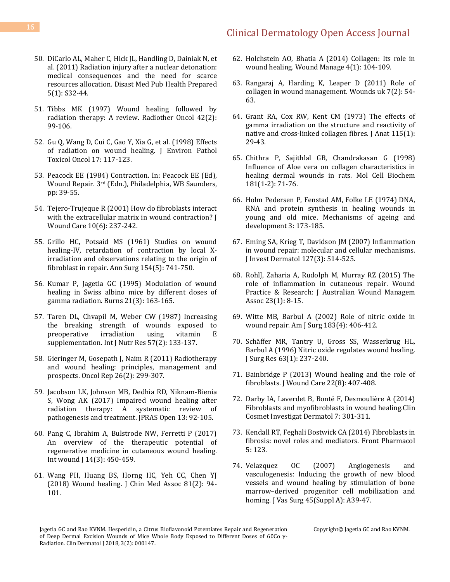- 50. [DiCarlo AL, Maher C, Hick JL, Handling D, Dainiak N, et](https://www.ncbi.nlm.nih.gov/pubmed/21402810)  [al. \(2011\) Radiation injury after a nuclear detonation:](https://www.ncbi.nlm.nih.gov/pubmed/21402810)  [medical consequences and the need for scarce](https://www.ncbi.nlm.nih.gov/pubmed/21402810)  [resources allocation. Disast Med Pub Health Prepared](https://www.ncbi.nlm.nih.gov/pubmed/21402810)  [5\(1\): S32-44.](https://www.ncbi.nlm.nih.gov/pubmed/21402810)
- 51. [Tibbs MK \(1997\) Wound healing followed by](https://www.ncbi.nlm.nih.gov/pubmed/9106919)  [radiation therapy: A review. Radiother Oncol 42\(2\):](https://www.ncbi.nlm.nih.gov/pubmed/9106919)  [99-106.](https://www.ncbi.nlm.nih.gov/pubmed/9106919)
- 52. [Gu Q, Wang D, Cui C, Gao Y, Xia G, et al. \(1998\) Effects](https://www.ncbi.nlm.nih.gov/pubmed/9546747)  [of radiation on wound healing. J Environ Pathol](https://www.ncbi.nlm.nih.gov/pubmed/9546747)  [Toxicol Oncol 17: 117-123.](https://www.ncbi.nlm.nih.gov/pubmed/9546747)
- 53. Peacock EE (1984) Contraction. In: Peacock EE (Ed), Wound Repair. 3rd (Edn.), Philadelphia, WB Saunders, pp: 39-55.
- 54. [Tejero-Trujeque R \(2001\) How do fibroblasts interact](https://www.magonlinelibrary.com/doi/10.12968/jowc.2001.10.6.26092)  [with the extracellular matrix in wound contraction? J](https://www.magonlinelibrary.com/doi/10.12968/jowc.2001.10.6.26092)  [Wound Care 10\(6\): 237-242.](https://www.magonlinelibrary.com/doi/10.12968/jowc.2001.10.6.26092)
- 55. [Grillo HC, Potsaid MS \(1961\) Studies on wound](https://www.ncbi.nlm.nih.gov/pmc/articles/PMC1465954/)  [healing-IV, retardation of contraction by local X](https://www.ncbi.nlm.nih.gov/pmc/articles/PMC1465954/)[irradiation and observations relating to the origin of](https://www.ncbi.nlm.nih.gov/pmc/articles/PMC1465954/)  [fibroblast in repair. Ann Surg 154\(5\): 741-750.](https://www.ncbi.nlm.nih.gov/pmc/articles/PMC1465954/)
- 56. [Kumar P, Jagetia GC \(1995\) Modulation of wound](https://www.ncbi.nlm.nih.gov/pubmed/7794494)  [healing in Swiss albino mice by different doses of](https://www.ncbi.nlm.nih.gov/pubmed/7794494)  [gamma radiation. Burns 21\(3\): 163-165.](https://www.ncbi.nlm.nih.gov/pubmed/7794494)
- 57. [Taren DL, Chvapil M, Weber CW \(1987\) Increasing](https://www.ncbi.nlm.nih.gov/pubmed/3654105)  [the breaking strength of wounds exposed to](https://www.ncbi.nlm.nih.gov/pubmed/3654105)  [preoperative irradiation using vitamin E](https://www.ncbi.nlm.nih.gov/pubmed/3654105)  [supplementation. Int J Nutr Res 57\(2\): 133-137.](https://www.ncbi.nlm.nih.gov/pubmed/3654105)
- 58. [Gieringer M, Gosepath J, Naim R \(2011\) Radiotherapy](https://www.ncbi.nlm.nih.gov/pubmed/21617873)  [and wound healing: principles, management and](https://www.ncbi.nlm.nih.gov/pubmed/21617873)  [prospects. Oncol Rep 26\(2\): 299-307.](https://www.ncbi.nlm.nih.gov/pubmed/21617873)
- 59. [Jacobson LK, Johnson MB, Dedhia RD, Niknam-Bienia](https://www.sciencedirect.com/science/article/pii/S2352587817300256)  [S, Wong AK \(2017\) Impaired wound healing after](https://www.sciencedirect.com/science/article/pii/S2352587817300256)  [radiation therapy: A systematic review of](https://www.sciencedirect.com/science/article/pii/S2352587817300256)  [pathogenesis and treatment. JPRAS Open 13: 92-105.](https://www.sciencedirect.com/science/article/pii/S2352587817300256)
- 60. [Pang C, Ibrahim A, Bulstrode NW, Ferretti P \(2017\)](https://www.ncbi.nlm.nih.gov/pubmed/28261962)  [An overview of the therapeutic potential of](https://www.ncbi.nlm.nih.gov/pubmed/28261962)  [regenerative medicine in cutaneous wound healing.](https://www.ncbi.nlm.nih.gov/pubmed/28261962)  Int wound [14(3): 450-459.
- 61. [Wang PH, Huang BS, Horng HC, Yeh CC, Chen YJ](https://www.ncbi.nlm.nih.gov/labs/pubmed/29169897-wound-healing/)  [\(2018\) Wound healing. J Chin Med Assoc 81\(2\): 94-](https://www.ncbi.nlm.nih.gov/labs/pubmed/29169897-wound-healing/) [101.](https://www.ncbi.nlm.nih.gov/labs/pubmed/29169897-wound-healing/)
- 62. Holchstein AO, Bhatia [A \(2014\) Collagen: Its role in](http://www.podiatrym.com/pdf/2014/11/PodMHochstein814webR2.pdf)  [wound healing. Wound Manage 4\(1\): 104-109.](http://www.podiatrym.com/pdf/2014/11/PodMHochstein814webR2.pdf)
- 63. [Rangaraj A, Harding K, Leaper D \(2011\) Role of](http://www.wounds-uk.com/pdf/content_10039.pdf)  [collagen in wound management. Wounds uk 7\(2\): 54-](http://www.wounds-uk.com/pdf/content_10039.pdf) [63.](http://www.wounds-uk.com/pdf/content_10039.pdf)
- 64. [Grant RA, Cox RW, Kent CM \(1973\) The effects of](https://www.ncbi.nlm.nih.gov/pubmed/4353867)  [gamma irradiation on the structure and reactivity of](https://www.ncbi.nlm.nih.gov/pubmed/4353867)  native and cross-linked collagen fibres. J Anat 115(1): [29-43.](https://www.ncbi.nlm.nih.gov/pubmed/4353867)
- 65. [Chithra P, Sajithlal GB, Chandrakasan G \(1998\)](https://www.ncbi.nlm.nih.gov/pubmed/9562243)  [Influence of Aloe vera on collagen characteristics in](https://www.ncbi.nlm.nih.gov/pubmed/9562243)  [healing dermal wounds in rats. Mol Cell Biochem](https://www.ncbi.nlm.nih.gov/pubmed/9562243)  [181\(1-2\): 71-76.](https://www.ncbi.nlm.nih.gov/pubmed/9562243)
- 66. [Holm Pedersen P, Fenstad AM, Folke LE \(1974\) DNA,](https://www.sciencedirect.com/science/article/pii/0047637474900141)  [RNA and protein synthesis in healing wounds in](https://www.sciencedirect.com/science/article/pii/0047637474900141)  [young and old mice. Mechanisms of ageing and](https://www.sciencedirect.com/science/article/pii/0047637474900141)  [development 3: 173-185.](https://www.sciencedirect.com/science/article/pii/0047637474900141)
- 67. [Eming SA, Krieg T, Davidson JM \(2007\) Inflammation](https://www.ncbi.nlm.nih.gov/pubmed/17299434)  [in wound repair: molecular and cellular mechanisms.](https://www.ncbi.nlm.nih.gov/pubmed/17299434)  [J Invest Dermatol 127\(3\): 514-525.](https://www.ncbi.nlm.nih.gov/pubmed/17299434)
- 68. [RohlJ, Zaharia A, Rudolph M, Murray RZ \(2015\) The](http://www.woundsaustralia.com.au/journal/2301_02.pdf)  [role of inflammation in cutaneous repair. Wound](http://www.woundsaustralia.com.au/journal/2301_02.pdf)  [Practice & Research: J Australian Wound Managem](http://www.woundsaustralia.com.au/journal/2301_02.pdf)  [Assoc 23\(1\): 8-15.](http://www.woundsaustralia.com.au/journal/2301_02.pdf)
- 69. [Witte MB, Barbul A \(2002\) Role of nitric oxide in](https://www.ncbi.nlm.nih.gov/pubmed/11975928)  [wound repair. Am J Surg 183\(4\): 406-412.](https://www.ncbi.nlm.nih.gov/pubmed/11975928)
- 70. [Schäffer MR, Tantry U, Gross SS, Wasserkrug HL,](https://www.ncbi.nlm.nih.gov/pubmed/8661204)  [Barbul A \(1996\) Nitric oxide regulates wound healing.](https://www.ncbi.nlm.nih.gov/pubmed/8661204)  [J Surg Res 63\(1\): 237-240.](https://www.ncbi.nlm.nih.gov/pubmed/8661204)
- 71. [Bainbridge P \(2013\) Wound healing and the role of](https://www.ncbi.nlm.nih.gov/pubmed/23924840)  [fibroblasts. J Wound Care 22\(8\): 407-408.](https://www.ncbi.nlm.nih.gov/pubmed/23924840)
- 72. [Darby IA, Laverdet B, Bonté F, Desmoulière A \(2014\)](https://www.ncbi.nlm.nih.gov/pubmed/25395868/)  [Fibroblasts and myofibroblasts in wound healing.Clin](https://www.ncbi.nlm.nih.gov/pubmed/25395868/)  [Cosmet Investigat Dermatol 7: 301-311.](https://www.ncbi.nlm.nih.gov/pubmed/25395868/)
- 73. [Kendall RT, Feghali Bostwick CA \(2014\) Fibroblasts in](https://www.ncbi.nlm.nih.gov/pubmed/24904424)  [fibrosis: novel roles and mediators. Front Pharmacol](https://www.ncbi.nlm.nih.gov/pubmed/24904424)  [5: 123.](https://www.ncbi.nlm.nih.gov/pubmed/24904424)
- 74. [Velazquez OC \(2007\) Angiogenesis and](https://www.ncbi.nlm.nih.gov/pubmed/17544023)  [vasculogenesis: Inducing the growth of new blood](https://www.ncbi.nlm.nih.gov/pubmed/17544023)  [vessels and wound healing by stimulation of bone](https://www.ncbi.nlm.nih.gov/pubmed/17544023)  marrow–[derived progenitor cell mobilization and](https://www.ncbi.nlm.nih.gov/pubmed/17544023)  [homing. J Vas Surg 45\(Suppl A\): A39-47.](https://www.ncbi.nlm.nih.gov/pubmed/17544023)

Jagetia GC and Rao KVNM. Hesperidin, a Citrus Bioflavonoid Potentiates Repair and Regeneration of Deep Dermal Excision Wounds of Mice Whole Body Exposed to Different Doses of 60Co γ-Radiation. Clin Dermatol J 2018, 3(2): 000147.